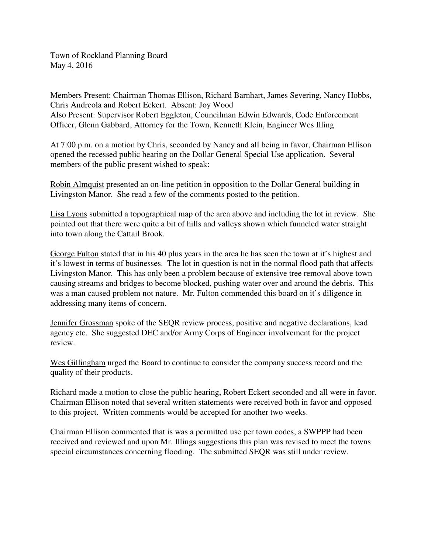Town of Rockland Planning Board May 4, 2016

Members Present: Chairman Thomas Ellison, Richard Barnhart, James Severing, Nancy Hobbs, Chris Andreola and Robert Eckert. Absent: Joy Wood Also Present: Supervisor Robert Eggleton, Councilman Edwin Edwards, Code Enforcement Officer, Glenn Gabbard, Attorney for the Town, Kenneth Klein, Engineer Wes Illing

At 7:00 p.m. on a motion by Chris, seconded by Nancy and all being in favor, Chairman Ellison opened the recessed public hearing on the Dollar General Special Use application. Several members of the public present wished to speak:

Robin Almquist presented an on-line petition in opposition to the Dollar General building in Livingston Manor. She read a few of the comments posted to the petition.

Lisa Lyons submitted a topographical map of the area above and including the lot in review. She pointed out that there were quite a bit of hills and valleys shown which funneled water straight into town along the Cattail Brook.

George Fulton stated that in his 40 plus years in the area he has seen the town at it's highest and it's lowest in terms of businesses. The lot in question is not in the normal flood path that affects Livingston Manor. This has only been a problem because of extensive tree removal above town causing streams and bridges to become blocked, pushing water over and around the debris. This was a man caused problem not nature. Mr. Fulton commended this board on it's diligence in addressing many items of concern.

Jennifer Grossman spoke of the SEQR review process, positive and negative declarations, lead agency etc. She suggested DEC and/or Army Corps of Engineer involvement for the project review.

Wes Gillingham urged the Board to continue to consider the company success record and the quality of their products.

Richard made a motion to close the public hearing, Robert Eckert seconded and all were in favor. Chairman Ellison noted that several written statements were received both in favor and opposed to this project. Written comments would be accepted for another two weeks.

Chairman Ellison commented that is was a permitted use per town codes, a SWPPP had been received and reviewed and upon Mr. Illings suggestions this plan was revised to meet the towns special circumstances concerning flooding. The submitted SEQR was still under review.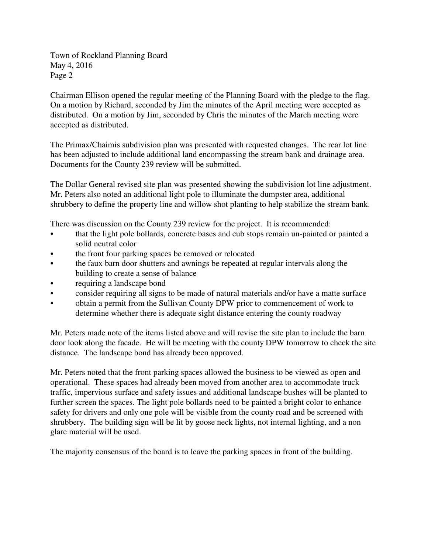Town of Rockland Planning Board May 4, 2016 Page 2

Chairman Ellison opened the regular meeting of the Planning Board with the pledge to the flag. On a motion by Richard, seconded by Jim the minutes of the April meeting were accepted as distributed. On a motion by Jim, seconded by Chris the minutes of the March meeting were accepted as distributed.

The Primax/Chaimis subdivision plan was presented with requested changes. The rear lot line has been adjusted to include additional land encompassing the stream bank and drainage area. Documents for the County 239 review will be submitted.

The Dollar General revised site plan was presented showing the subdivision lot line adjustment. Mr. Peters also noted an additional light pole to illuminate the dumpster area, additional shrubbery to define the property line and willow shot planting to help stabilize the stream bank.

There was discussion on the County 239 review for the project. It is recommended:

- that the light pole bollards, concrete bases and cub stops remain un-painted or painted a solid neutral color
- the front four parking spaces be removed or relocated
- the faux barn door shutters and awnings be repeated at regular intervals along the building to create a sense of balance
- requiring a landscape bond
- consider requiring all signs to be made of natural materials and/or have a matte surface
- obtain a permit from the Sullivan County DPW prior to commencement of work to determine whether there is adequate sight distance entering the county roadway

Mr. Peters made note of the items listed above and will revise the site plan to include the barn door look along the facade. He will be meeting with the county DPW tomorrow to check the site distance. The landscape bond has already been approved.

Mr. Peters noted that the front parking spaces allowed the business to be viewed as open and operational. These spaces had already been moved from another area to accommodate truck traffic, impervious surface and safety issues and additional landscape bushes will be planted to further screen the spaces. The light pole bollards need to be painted a bright color to enhance safety for drivers and only one pole will be visible from the county road and be screened with shrubbery. The building sign will be lit by goose neck lights, not internal lighting, and a non glare material will be used.

The majority consensus of the board is to leave the parking spaces in front of the building.